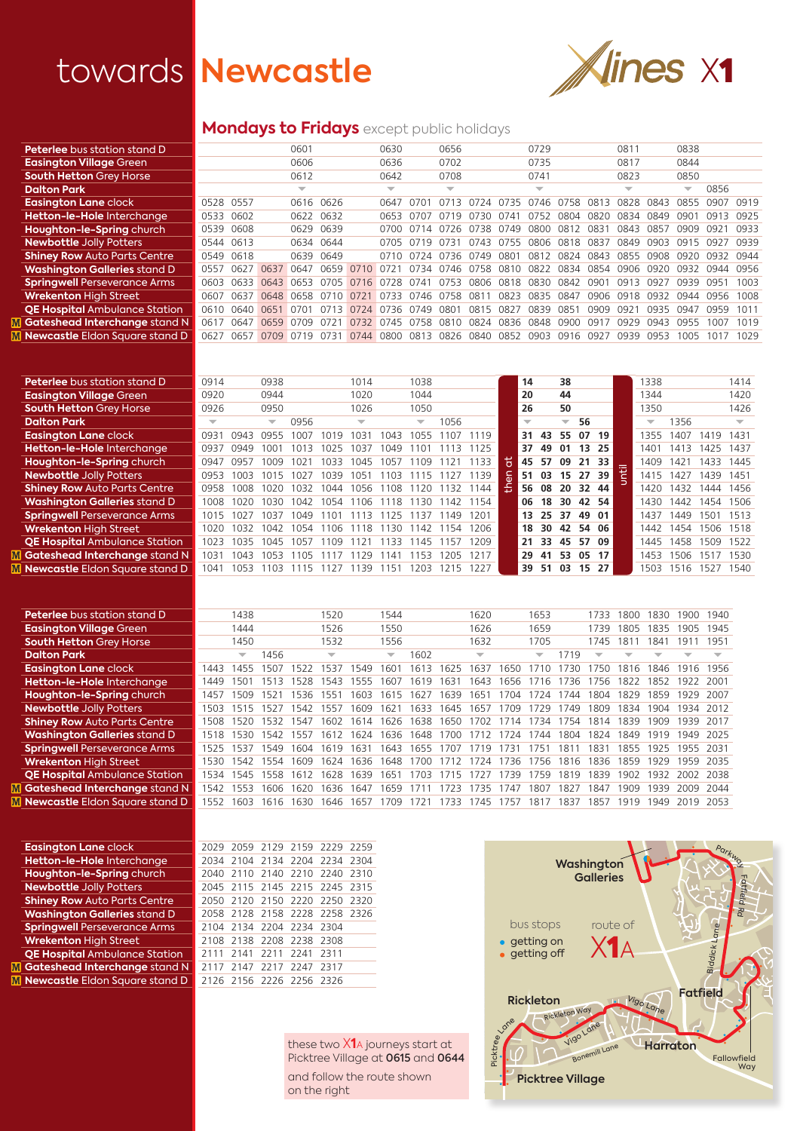# towards Newcastle Xines X1



## **Mondays to Fridays** except public holidays

| <b>Peterlee</b> bus station stand D   |      |           |      | 0601                     |      |          | 0630                     |      | 0656                     |      |                  | 0729                     |      |                 | 0811                     |      | 0838                     |      |      |
|---------------------------------------|------|-----------|------|--------------------------|------|----------|--------------------------|------|--------------------------|------|------------------|--------------------------|------|-----------------|--------------------------|------|--------------------------|------|------|
| <b>Easington Village Green</b>        |      |           |      | 0606                     |      |          | 0636                     |      | 0702                     |      |                  | 0735                     |      |                 | 0817                     |      | 0844                     |      |      |
| <b>South Hetton Grey Horse</b>        |      |           |      | 0612                     |      |          | 0642                     |      | 0708                     |      |                  | 0741                     |      |                 | 0823                     |      | 0850                     |      |      |
| <b>Dalton Park</b>                    |      |           |      | $\overline{\phantom{a}}$ |      |          | $\overline{\phantom{a}}$ |      | $\overline{\phantom{a}}$ |      |                  | $\overline{\phantom{a}}$ |      |                 | $\overline{\phantom{a}}$ |      | $\overline{\phantom{a}}$ | 0856 |      |
| <b>Easington Lane clock</b>           |      | 0528 0557 |      | 0616                     | 0626 |          | 0647                     | 0701 |                          |      |                  | 0746                     | 0758 | 0813            | 0828                     | 0843 | 0855                     | 0907 | 0919 |
| Hetton-le-Hole Interchange            | 0533 | 0602      |      | 0622                     | 0632 |          | 0653                     | 0707 | 0719                     | 0730 | 074 <sup>.</sup> | 0752                     | 0804 | 0820            | 0834                     | 0849 | 0901                     | 0913 | 0925 |
| Houghton-le-Spring church             | 0539 | 0608      |      | 0629                     | 0639 |          | 0700                     | 0714 | 0726                     | 0738 | 0749             | 0800                     | 0812 | 0831            | 0843                     | 0857 | 0909                     | 0921 | 0933 |
| <b>Newbottle Jolly Potters</b>        |      | 0544 0613 |      | 0634                     | 0644 |          | 0705                     | 0719 | 0731                     | 0743 | 0755             | 0806                     | 0818 | 0837            | 0849                     | 0903 | 0915                     | 0927 | 0939 |
| <b>Shiney Row Auto Parts Centre</b>   | 0549 | 0618      |      | 0639                     | 0649 |          | 0710                     | 0724 | 0736                     | 0749 | 0801             | 0812                     | 0824 | 0843            | 0855                     | 0908 | 0920                     | 0932 | 0944 |
| <b>Washington Galleries</b> stand D   | 0557 | 0627      | 0637 | 0647                     | 0659 | 0710     | 0721                     | 0734 | 0746                     | 0758 | 0810             | 0822                     | 0834 | 0854            | 0906                     | 0920 | 0932                     | 0944 | 0956 |
| <b>Springwell Perseverance Arms</b>   | 0603 | 0633      | 0643 | 0653                     | 0705 | 07<br>6. | 0728                     | 0741 | 0753                     | 0806 | 0818             | 0830                     | 0842 | 0901            | 0913                     | 0927 | 0939                     | 0951 | 1003 |
| <b>Wrekenton High Street</b>          | 0607 | 0637      | 0648 | 0658                     |      |          | 0733                     | 0746 | 0758                     | .08  | 0823             | 0835                     | 0847 | 0906            | 091<br>18                | 0932 | 0944                     | 0956 | 1008 |
| <b>QE Hospital Ambulance Station</b>  | 0610 | 0640      | 0651 | 070 <sup>-</sup>         |      | 0724     | 0736                     | 0749 | N8N 1                    | 08.  | U83.             | 0839                     | 085  | 0909            | 092                      | 0935 | 0947                     | 0959 | 1011 |
| <b>Gateshead Interchange stand N</b>  | 0617 | 0647      | 0659 | 0709                     |      | 0732     | 0745                     | 0758 | 0810                     | 0824 | 0836             | 0848                     | nann | 09 <sup>1</sup> | 0929                     | 0943 | 0955                     | 1007 | 1019 |
| <b>Newcastle Eldon Square stand D</b> | 0627 | 0657      | 0709 | 0719                     | 0731 | 0744     | 0800                     | 0813 | 0826                     | 0840 | 0852             | 0903                     | 0916 | 0927            | 0939                     | 0953 | 1005                     | 1017 | 1029 |
|                                       |      |           |      |                          |      |          |                          |      |                          |      |                  |                          |      |                 |                          |      |                          |      |      |
| <b>Peterlee</b> bus station stand D   | 0914 |           | 0938 |                          |      | 1014     |                          | 1038 |                          |      |                  | 14                       | 38   |                 |                          | 1338 |                          |      | 1414 |
| <b>Easington Village Green</b>        | 0920 |           | 0944 |                          |      | 1020     |                          | 1044 |                          |      |                  | 20                       | 44   |                 |                          | 1344 |                          |      | 1420 |

| <b>Easington Village Green</b>       | 0920 |      | 0944                     |          |      | 1020  |      | 1044                     |      |          |   | 20                       |             | 44                       |          |                 | 1344                     |         |           | 1420 |
|--------------------------------------|------|------|--------------------------|----------|------|-------|------|--------------------------|------|----------|---|--------------------------|-------------|--------------------------|----------|-----------------|--------------------------|---------|-----------|------|
| <b>South Hetton Grey Horse</b>       | 0926 |      | 0950                     |          |      | 1026  |      | 1050                     |      |          |   | 26                       |             | 50                       |          |                 | 1350                     |         |           | 1426 |
| <b>Dalton Park</b>                   |      |      | $\overline{\phantom{a}}$ | 0956     |      |       |      | $\overline{\phantom{a}}$ | 1056 |          |   | $\overline{\phantom{a}}$ |             | $\overline{\phantom{a}}$ | 56       |                 | $\overline{\phantom{a}}$ | 1356    |           |      |
| <b>Easington Lane</b> clock          | 093. | 0943 | N955                     | ΩO       |      | 103   | 1043 | 1055                     |      |          |   | 31                       | 43          | 55                       | 07       | 19              | 1355                     | 1407    | 1419      | 1431 |
| Hetton-le-Hole Interchange           | 0937 | ∩949 | LOO                      | $\cup$ . | 025  | רחו   | 1049 |                          |      | 125      |   | 37                       | 49          | 01                       | 13       | 25              | 140'                     | 41<br>3 | 1425      | 1437 |
| Houghton-le-Spring church            | 0947 | 0957 | 1009                     | 102      | 1033 | 1045  | 1057 | 109                      |      | 133      | ∺ |                          | 45 57 09 21 |                          |          | 33              | 1409                     | 1421    | 1433      | 1445 |
| <b>Newbottle Jolly Potters</b>       | 0953 | 1003 | 101                      | IN 2     | 1039 | 105   | 103  |                          |      | 139      |   | 51                       | 03          | 15 27                    |          | 39              | 1415                     | 1427    | 1439      | 1451 |
| <b>Shiney Row Auto Parts Centre</b>  | 0958 | 1008 | 1020                     | 1032     | 1044 | 1056  | 108  | 20                       | 32   | 144      | ÷ | 56                       | 08          | 20 32                    |          | 44              | 1420                     | 1432    | 444       | 1456 |
| <b>Washington Galleries stand D</b>  | 1008 | 1020 | 1030                     | 1042     | 1054 | 1106  | 1118 | 130                      |      | 142 1154 |   | 06                       | 18          |                          | 30 42 54 |                 | 1430                     | 1442    | 1454 1506 |      |
| <b>Springwell Perseverance Arms</b>  | 1015 | 1027 | 1037                     | 1049     | 101  | 1113  | 125  | 137                      | 149  | 1201     |   | 13.                      | 25          | 37                       | 49       | 01              | 1437                     | 1449    | 1501      | 1513 |
| <b>Wrekenton High Street</b>         | 1020 | 1032 | 1042                     | 1054     | 106  | 18    | 130  | 147                      | ' 54 | 1206     |   | 18                       | 30          | 42                       | 54       | 06              | 1442                     | 454     | 1506      | 1518 |
| <b>QE Hospital Ambulance Station</b> | 1023 | 1035 | 1045                     | 105      | 1109 | 1 2 1 | 133  | 145                      | 57   | 209      |   | 21                       | 33          |                          | 45 57    | 09              | 1445                     | 1458    | 1509      | 1522 |
| Gateshead Interchange stand N        | 1031 | 1043 | 1053                     | 105      |      | 129   | 141  | 153                      | 205  | 1217     |   | 29                       | 41          | 53                       | 05       | 17 <sup>2</sup> | 1453                     | 506     | 1517      | 1530 |
| Newcastle Eldon Sauare stand D       | 1041 | 1053 | 103                      |          |      | 139   | 151  | 203                      | 215  | 227      |   | 39                       | -51         | 03                       | 15       | 27              | 1503                     | 1516    | 1527      | 1540 |

| <b>Peterlee</b> bus station stand D   |      | 1438                     |      |      | 1520                     |      | 1544                     |      |      | 1620                     |               | 1653                     |      | 1733                     | 1800  | 1830 | 1900 | 1940 |
|---------------------------------------|------|--------------------------|------|------|--------------------------|------|--------------------------|------|------|--------------------------|---------------|--------------------------|------|--------------------------|-------|------|------|------|
| <b>Easington Village Green</b>        |      | 1444                     |      |      | 1526                     |      | 1550                     |      |      | 1626                     |               | 1659                     |      | 1739                     | 1805  | 1835 | 1905 | 1945 |
| <b>South Hetton Grey Horse</b>        |      | 1450                     |      |      | 1532                     |      | 1556                     |      |      | 1632                     |               | 1705                     |      | 1745                     | 181   | 1841 | 191  | 1951 |
| <b>Dalton Park</b>                    |      | $\overline{\phantom{a}}$ | 1456 |      | $\overline{\phantom{a}}$ |      | $\overline{\phantom{a}}$ | 1602 |      | $\overline{\phantom{a}}$ |               | $\overline{\phantom{a}}$ | 719  | $\overline{\phantom{a}}$ |       |      |      |      |
| <b>Easington Lane clock</b>           | 1443 | 1455                     | 507  | 522  | 537                      | 549  | 1601                     | 1613 | 1625 | 1637                     | 650           |                          | 730  | 750                      | 1816  | 1846 | 1916 | 1956 |
| Hetton-le-Hole Interchange            | 1449 | 501                      | 51   | 528  | 543                      | 555  | 607                      | 1619 | 63   | 643                      | 1656          | 16                       | 736  | 756                      | 1822  | 1852 | 1922 | 2001 |
| Houghton-le-Spring church             | 1457 | 509                      | 521  | 536  | 155 <sup>2</sup>         | 603  | 161<br>5                 | 1627 | 1639 | 1651                     | 704           | 1724                     | 744  | 1804                     | 1829  | 1859 | 1929 | 2007 |
| <b>Newbottle Jolly Potters</b>        | 1503 | 1515                     | 52   | 542  | 1553                     | 609  | 162.                     | 1633 | 1645 | 1657                     | 709           | 1729                     | 749  | 1809                     | 1834  | 1904 | 1934 | 2012 |
| <b>Shiney Row Auto Parts Centre</b>   | 1508 | 1520                     | 1532 | 547  | 1602                     | 1614 | 1626                     | 1638 | 1650 | 1702                     | 1714          | 1734                     | 754  | 1814                     | 1839  | 1909 | 1939 | 2017 |
| <b>Washington Galleries stand D</b>   | 1518 | 530                      | 542  | 557  | 1612                     | 624  | 1636                     | 1648 | 1700 |                          | 724           | 1744                     | 1804 | 1824                     | 1849. | 1919 | 1949 | 2025 |
| <b>Springwell Perseverance Arms</b>   | 1525 | 537                      | 549  | 1604 | 1619                     | 631  | 1643                     | 1655 | 1707 | 719                      | 731           | 175                      | 81   | 183                      | 1855. | 1925 | 1955 | 2031 |
| <b>Wrekenton High Street</b>          | 1530 | 542                      | 554  | 609  | 1624                     | 636  | 1648                     | 700  |      | 724                      | -736          | 1756                     | 1816 | 1836                     | 1859. | 1929 | 1959 | 2035 |
| <b>QE Hospital Ambulance Station</b>  | 1534 | 545                      | 558  | 612  | 1628                     | 639  | 165                      | -703 |      |                          | 739           | 759                      | 819  | 839                      | 1902  | 1932 | 2002 | 2038 |
| Gateshead Interchange stand N         | 542  | 1553                     | 1606 | 1620 | 1636                     | 647  | 1659                     |      | 1723 | 1735                     | 747           | 1807                     | 1827 | 1847                     | 1909. | 1939 | 2009 | 2044 |
| <b>Newcastle Eldon Square stand D</b> | 1552 | 603                      | 1616 | 630  | 1646                     | 657  | 1709                     | 721  | 733  | 745                      | $.75^{\circ}$ | ΙS,                      | 837  | 1857                     | 1919  | 1949 | 2019 | 2053 |

| <b>Easington Lane clock</b>          | 2029 2059 2129 2159 2229 2259 |  |  |
|--------------------------------------|-------------------------------|--|--|
| Hetton-le-Hole Interchange           | 2034 2104 2134 2204 2234 2304 |  |  |
| Houghton-le-Spring church            | 2040 2110 2140 2210 2240 2310 |  |  |
| <b>Newbottle Jolly Potters</b>       | 2045 2115 2145 2215 2245 2315 |  |  |
| <b>Shiney Row Auto Parts Centre</b>  | 2050 2120 2150 2220 2250 2320 |  |  |
| <b>Washington Galleries stand D</b>  | 2058 2128 2158 2228 2258 2326 |  |  |
| <b>Springwell Perseverance Arms</b>  | 2104 2134 2204 2234 2304      |  |  |
| <b>Wrekenton High Street</b>         | 2108 2138 2208 2238 2308      |  |  |
| <b>QE Hospital Ambulance Station</b> | 2111 2141 2211 2241 2311      |  |  |
| Gateshead Interchange stand N        | 2117 2147 2217 2247 2317      |  |  |
| Newcastle Eldon Square stand D       | 2126 2156 2226 2256 2326      |  |  |
|                                      |                               |  |  |

 $\overline{\mathbf{M}}$ M

> these two X**1**a journeys start at Picktree Village at 0615 and 0644 and follow the route shown on the right

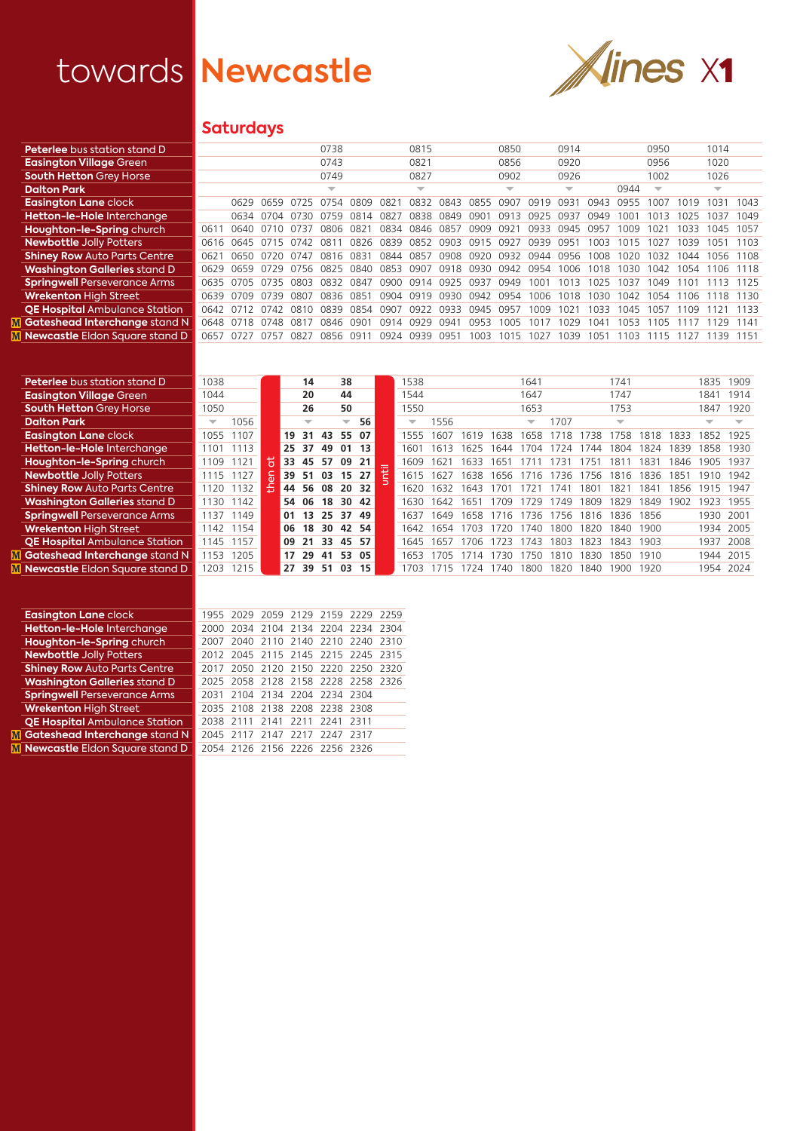$\frac{\mathbf{M}}{\mathbf{M}}$ 



## **Saturdays**

| <b>Peterlee</b> bus station stand D   |      |      |                |      | 0738      |             |                          | 0815                     |      |           | 0850                     |      | 0914                     |            |      | 0950                     |      | 1014                     |      |
|---------------------------------------|------|------|----------------|------|-----------|-------------|--------------------------|--------------------------|------|-----------|--------------------------|------|--------------------------|------------|------|--------------------------|------|--------------------------|------|
| <b>Easington Village Green</b>        |      |      |                |      | 0743      |             |                          | 0821                     |      |           | 0856                     |      | 0920                     |            |      | 0956                     |      | 1020                     |      |
| <b>South Hetton Grey Horse</b>        |      |      |                |      | 0749      |             |                          | 0827                     |      |           | 0902                     |      | 0926                     |            |      | 1002                     |      | 1026                     |      |
| <b>Dalton Park</b>                    |      |      |                |      | ⇁         |             |                          | $\overline{\phantom{a}}$ |      |           | $\overline{\phantom{a}}$ |      | $\overline{\phantom{a}}$ |            | 0944 | $\overline{\phantom{a}}$ |      | $\overline{\phantom{a}}$ |      |
| <b>Easington Lane clock</b>           |      | 0629 | 0659           |      |           | <b>0809</b> | O82                      | 0832                     | 0843 | 0855      | 0907                     | 0919 |                          | ∩ด⊿ล       | 0955 | 007                      |      | 1031                     | 1043 |
| Hetton-le-Hole Interchange            |      | 0634 | 0704           | 0730 | 0759      | 0814        | 0827                     | 0838                     | 0849 | 090.      | 0913                     | 0925 | 1143.                    | ∩949       | UU.  |                          |      | 1037                     | 1049 |
| Houghton-le-Spring church             | 0611 | 0640 | 0710           | 0737 | 0806      | 0821        |                          | 0834 0846                | 0857 | 0909      | 0d3.                     | 0933 | 0945                     | 095.       | nng  | -02                      | 1033 | 1045                     | 1057 |
| <b>Newbottle Jolly Potters</b>        | 0616 | 0645 | 0715 0742      |      | 081       | 0826        | 0839                     | 0852                     | COPO | 0915 0927 |                          | 0939 | 0951                     | 1003       | 01   | n2                       | 1039 | 1051                     | 1103 |
| <b>Shiney Row Auto Parts Centre</b>   | 0621 |      | 0650 0720 0747 |      | 0816 0831 |             | 0844 0857 0908 0920 0932 |                          |      |           |                          | 0944 | 0956                     | 1008       | 1020 | 1032                     | 1044 | 1056                     | 1108 |
| <b>Washington Galleries stand D</b>   | 0629 | 0659 | 0729           | 0756 | 0825      | 0840        | 0853                     | 0907                     | 0918 | 0930      | 0942                     | 0954 | 1006                     | 1018       | 030  | 1042                     | 1054 | 1106                     | 1118 |
| <b>Springwell Perseverance Arms</b>   | 0635 | 0705 | 0735 0803      |      | 0832 0847 |             | 0900                     | 0914 0925 0937           |      |           | 0949                     | 1001 | 1013                     | 1025       | 1037 | 1049                     |      | 1113                     | 1125 |
| <b>Wrekenton High Street</b>          | 0639 | 0709 | 0739           | 0807 | 0836      | 0851        | 0904                     | 0919                     | 0930 | 0942      | 0954                     | 1006 | 1018                     | USU.       | 042  | 054                      | 106  | 118                      | 1130 |
| <b>QE Hospital Ambulance Station</b>  | 0642 | 0712 | 0742           | 0810 | 0839      | 0854        | 0907                     | 0922                     | 0933 | 0945      | 0957                     | 1009 | 102                      | <b>U33</b> | 045  | 057                      | 109  |                          | 1133 |
| <b>Gateshead Interchange stand N</b>  | 0648 | 0718 | 0748           | 0817 | 0846      | 0901        | 0914                     | 0929                     | 0941 | 0953      | 1005                     | 101  | 1029                     | 104        | 053  | 105                      |      | 129                      | 1141 |
| <b>Newcastle Eldon Square stand D</b> | 0657 |      | 0757           | በጸን  | 0856      | 091         | 0924                     | 0939                     | 0951 | 1003      | 1015                     | 1027 | 039                      | 105        | 103  |                          |      |                          |      |
|                                       |      |      |                |      |           |             |                          |                          |      |           |                          |      |                          |            |      |                          |      |                          |      |

| <b>Peterlee</b> bus station stand D     | 1038                     |      |   |    | 14                       |     | 38                       |       |     | 538                      |      |      |      | 1641                     |           |      | 1741                     |      |                  | 1835 | 1909 |
|-----------------------------------------|--------------------------|------|---|----|--------------------------|-----|--------------------------|-------|-----|--------------------------|------|------|------|--------------------------|-----------|------|--------------------------|------|------------------|------|------|
| <b>Easington Village Green</b>          | 1044                     |      |   |    | 20                       |     | 44                       |       |     | 1544                     |      |      |      | 1647                     |           |      | 1747                     |      |                  | 1841 | 1914 |
| <b>South Hetton Grey Horse</b>          | 1050                     |      |   |    | 26                       |     | 50                       |       |     | 1550                     |      |      |      | 1653                     |           |      | 1753                     |      |                  | 1847 | 1920 |
| <b>Dalton Park</b>                      | $\overline{\phantom{a}}$ | 1056 |   |    | $\overline{\phantom{a}}$ |     | $\overline{\phantom{a}}$ | 56    |     | $\overline{\phantom{a}}$ | 1556 |      |      | $\overline{\phantom{a}}$ | 1707      |      | $\overline{\phantom{a}}$ |      |                  | ▼    |      |
| <b>Easington Lane clock</b>             | 1055                     | 1107 |   | 19 | 31                       | 43  | 55                       | 07    |     | 555                      | 607  | 619  | 638  | 658                      | 718       | 738  | 758                      | 818  | 1833             | 852  | 1925 |
| Hetton-le-Hole Interchange              | 1101                     | 1113 |   | 25 | -37                      | 49  | 01                       | 13    |     | 601                      | 613  | 625  | 644  | 704                      |           | 744  | 1804                     | 1824 | 839              | 858  | 1930 |
| Houghton-le-Spring church               | 1109                     | 1121 | Э | 33 | 45                       | -57 | 09                       | 21    | $=$ | 609                      | 1621 | 633  | 65   |                          | $/ \prec$ | 75   | 81                       | 83   | 846              | 1905 | 1937 |
| <b>Newbottle Jolly Potters</b>          | 1115                     | 1127 | 듯 | 39 | 51                       | 03  |                          | 15 27 | 붙   | 1615                     | 627  | 638  | 1656 | 1716                     | 1736      | 1756 | 1816                     | 1836 | 185 <sup>1</sup> | 1910 | 1942 |
| <b>Shiney Row Auto Parts Centre</b>     | 1120                     | 132  | 흒 | 44 | -56                      | 08  | 20                       | 32    |     | 620                      | 632  | 643  | 701  |                          | 741       | 801  | 182                      | 84   | 856              | 1915 | 1947 |
| <b>Washington Galleries stand D</b>     | 1130                     | 1142 |   |    | 54 06                    | 18  | 30                       | -42   |     | 630                      | 642  | 1651 | 709  | 1729                     | 1749      | 1809 | 1829                     | 849  | 1902             | 1923 | 1955 |
| <b>Springwell Perseverance Arms</b>     | 1137                     | 1149 |   | 01 | 13                       | 25  | 37                       | 49    |     | 637                      | 649  | 658  | 1716 | 1736                     | 756       | 1816 | 1836                     | 1856 |                  | 1930 | 2001 |
| <b>Wrekenton High Street</b>            | 142                      | 1154 |   | 06 | 18                       | 30  |                          | 42 54 |     | 642                      | 654  | 703  | 720  | 740                      | 1800      | 1820 | 1840                     | 1900 |                  | 1934 | 2005 |
| <b>QE Hospital Ambulance Station</b>    | 145                      | 1157 |   | 09 | 21                       | 33  | 45                       | -57   |     | 645                      | 657  | 706  | 723  | 743                      | 1803      | 1823 | 843                      | 1903 |                  | 1937 | 2008 |
| Gateshead Interchange stand N           | 153                      | 1205 |   | 17 | 29                       | 41  | 53                       | -05   |     | 653                      | 705  |      | 730  | 750                      | 1810      | 1830 | 1850                     | 1910 |                  | 1944 | 2015 |
| <b>M</b> Newcastle Eldon Sauare stand D | 1203                     | 1215 |   | 27 | 39                       | 51  | 03                       | 15    |     | 703                      |      |      | 740  | 1800                     | 1820      | 1840 | 900                      | 1920 |                  | 1954 | 2024 |

| <b>Easington Lane clock</b>             |      |  |                               | 1955 2029 2059 2129 2159 2229 2259 |  |
|-----------------------------------------|------|--|-------------------------------|------------------------------------|--|
| Hetton-le-Hole Interchange              | 2000 |  |                               | 2034 2104 2134 2204 2234 2304      |  |
| Houghton-le-Spring church               | 2007 |  |                               | 2040 2110 2140 2210 2240 2310      |  |
| <b>Newbottle Jolly Potters</b>          |      |  |                               | 2012 2045 2115 2145 2215 2245 2315 |  |
| <b>Shiney Row Auto Parts Centre</b>     | 2017 |  |                               | 2050 2120 2150 2220 2250 2320      |  |
| <b>Washington Galleries stand D</b>     |      |  |                               | 2025 2058 2128 2158 2228 2258 2326 |  |
| <b>Springwell Perseverance Arms</b>     |      |  | 2031 2104 2134 2204 2234 2304 |                                    |  |
| <b>Wrekenton High Street</b>            |      |  | 2035 2108 2138 2208 2238 2308 |                                    |  |
| <b>QE Hospital Ambulance Station</b>    |      |  | 2038 2111 2141 2211 2241 2311 |                                    |  |
| <b>M</b> Gateshead Interchange stand N  |      |  | 2045 2117 2147 2217 2247      | 2317                               |  |
| <b>M</b> Newcastle Eldon Sauare stand D |      |  | 2054 2126 2156 2226 2256 2326 |                                    |  |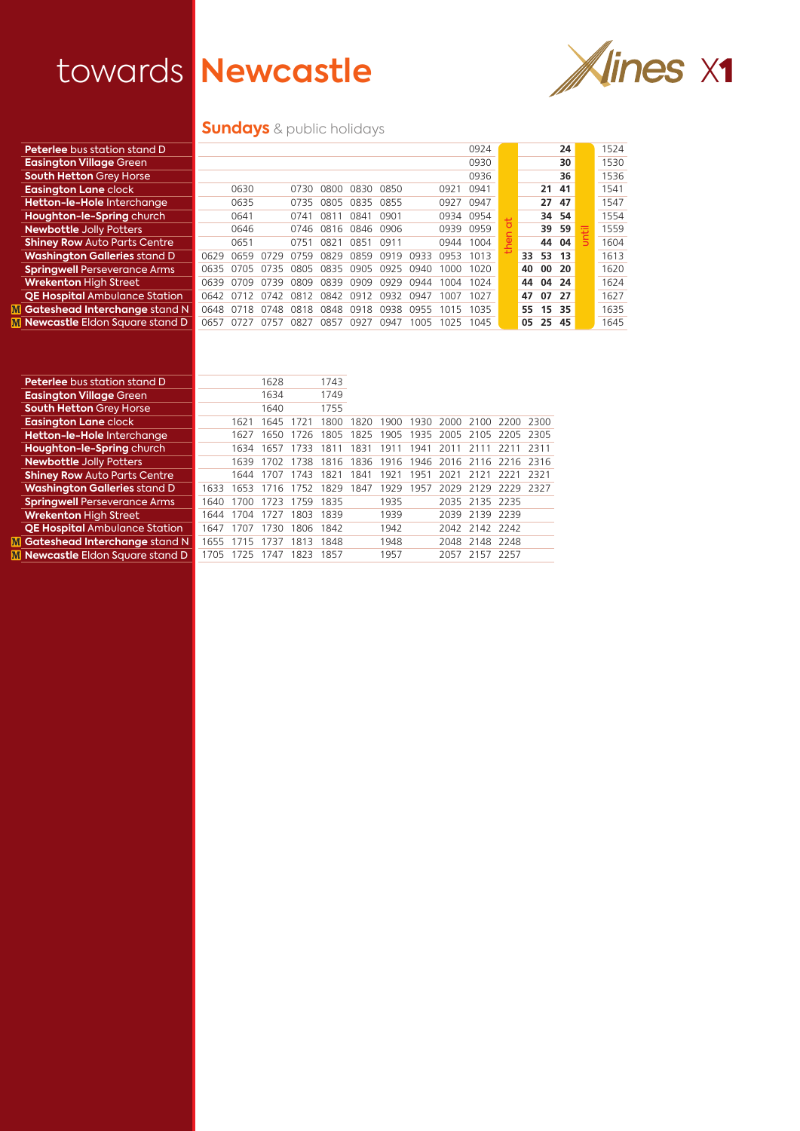

## **Sundays** & public holidays

| <b>Peterlee</b> bus station stand D     |      |      |      |      |      |           |      |      |      | 0924      |         |          |       | 24  |   | 1524 |
|-----------------------------------------|------|------|------|------|------|-----------|------|------|------|-----------|---------|----------|-------|-----|---|------|
| <b>Easington Village Green</b>          |      |      |      |      |      |           |      |      |      | 0930      |         |          |       | 30  |   | 1530 |
| <b>South Hetton Grey Horse</b>          |      |      |      |      |      |           |      |      |      | 0936      |         |          |       | 36  |   | 1536 |
| <b>Easington Lane clock</b>             |      | 0630 |      | 0730 | 0800 | 0830      | 0850 |      | 0921 | 0941      |         |          | 21    | 41  |   | 1541 |
| Hetton-le-Hole Interchange              |      | 0635 |      | 0735 | 0805 | 0835      | 0855 |      | 0927 | 0947      |         |          | 27    | 47  |   | 1547 |
| Houghton-le-Spring church               |      | 0641 |      | 0741 | 081  | 0841      | 0901 |      | 0934 | 0954      | $1 - 3$ |          | 34 54 |     |   | 1554 |
| <b>Newbottle Jolly Potters</b>          |      | 0646 |      | 0746 |      | 0816 0846 | 0906 |      |      | 0939 0959 |         |          | 39 59 |     | Ŧ | 1559 |
| <b>Shiney Row Auto Parts Centre</b>     |      | 0651 |      | 0751 | 0821 | 0851      | 0911 |      | 0944 | 1004      |         |          | 44    | 04  |   | 1604 |
| <b>Washington Galleries stand D</b>     | 0629 | 0659 | -07  | 0759 | 0829 | 0859      | 0919 | 0933 | 0953 | 1013      |         | 33       | 53    | 13  |   | 1613 |
| <b>Springwell Perseverance Arms</b>     | 0635 | 0705 | 0735 | 0805 | 0835 | 0905      | 0925 | 0940 | 1000 | 1020      |         | 40       | 00    | -20 |   | 1620 |
| <b>Wrekenton High Street</b>            | 0639 | 0709 | 0739 | 0809 | 0839 | 0909      | 0929 | 0944 | 1004 | 1024      |         | 44       | 04    | 24  |   | 1624 |
| <b>QE Hospital Ambulance Station</b>    | 0642 | 0712 | 0742 | 0812 | 0842 | 091<br>12 | 0932 | 0947 | 1007 | 1027      |         | 47       | 07    | 27  |   | 1627 |
| <b>Gateshead Interchange stand N</b>    | 0648 | 0718 | 0748 | 0818 | 0848 | 0918      | 0938 | 0955 | 1015 | 1035      |         | 55 15 35 |       |     |   | 1635 |
| <b>M</b> Newcastle Eldon Square stand D | 0657 | 0727 | 0757 | 0827 | 0857 | 0927      | 0947 | 1005 | 1025 | 1045      |         | 05       | 25    | -45 |   | 1645 |
|                                         |      |      |      |      |      |           |      |      |      |           |         |          |       |     |   |      |

| <b>Peterlee</b> bus station stand D   |      |      | 1628 |      | 1743 |      |      |      |      |                |                |       |
|---------------------------------------|------|------|------|------|------|------|------|------|------|----------------|----------------|-------|
| <b>Easington Village Green</b>        |      |      | 1634 |      | 1749 |      |      |      |      |                |                |       |
| <b>South Hetton Grey Horse</b>        |      |      | 1640 |      | 1755 |      |      |      |      |                |                |       |
| <b>Easington Lane clock</b>           |      | 1621 | '645 |      | 1800 | 1820 | 1900 | 1930 | 2000 |                | 2100 2200 2300 |       |
| Hetton-le-Hole Interchange            |      | 1627 | 650  | 1726 | 1805 | 1825 | 1905 | 1935 |      | 2005 2105 2205 |                | 2305  |
| Houghton-le-Spring church             |      | 1634 | 657  | 733  | 181  | 1831 | 1911 | 1941 | 2011 |                |                | 2311  |
| <b>Newbottle Jolly Potters</b>        |      | 1639 | 1702 | 1738 | 1816 | 1836 | 1916 | 1946 | 2016 | 2116           | -2216          | -2316 |
| <b>Shiney Row Auto Parts Centre</b>   |      | 1644 | 707  | 743  | I82. | 1841 | 1921 | 1951 | 2021 | 2121           | 2221           | 2321  |
| <b>Washington Galleries stand D</b>   | 1633 | 1653 | 1716 | 1752 | 1829 | 1847 | 1929 | 1957 | 2029 | 2129           | 2229           | -2327 |
| <b>Springwell Perseverance Arms</b>   | 1640 | 1700 | 1723 | 1759 | 1835 |      | 1935 |      |      | 2035 2135 2235 |                |       |
| <b>Wrekenton High Street</b>          | 1644 | 1704 | 1727 | 1803 | 1839 |      | 1939 |      | 2039 | 2139 2239      |                |       |
| <b>QE Hospital Ambulance Station</b>  | 1647 | 1707 | 1730 | 1806 | 1842 |      | 1942 |      | 2042 | 2142 2242      |                |       |
| Gateshead Interchange stand N         | 1655 | 1715 | 737  | 1813 | 1848 |      | 1948 |      | 2048 | 2148 2248      |                |       |
| <b>Newcastle Eldon Square stand D</b> | 1705 |      | 1747 | 1823 | 1857 |      | 1957 |      |      | 2057 2157 2257 |                |       |
|                                       |      |      |      |      |      |      |      |      |      |                |                |       |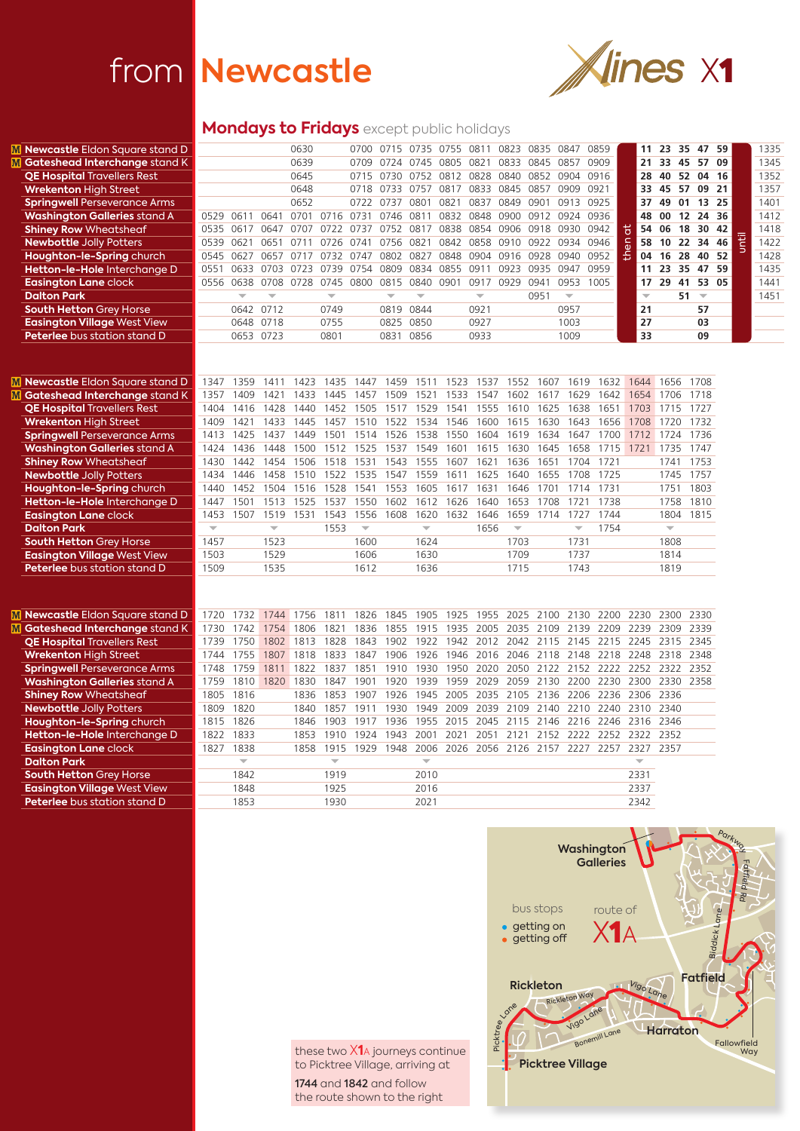## from **Newcastle**



## **Mondays to Fridays** except public holidays

| <b>M</b> Newcastle Eldon Square stand D |                          |                          |                         | 0630           |                          |                         | 0700 0715 0735 0755           |                         |           | 0811                          | 0823                    | 0835           | 0847                    | 0859                                    | 11                      | 23                      | 35<br>47  | 59    |              | 1335 |
|-----------------------------------------|--------------------------|--------------------------|-------------------------|----------------|--------------------------|-------------------------|-------------------------------|-------------------------|-----------|-------------------------------|-------------------------|----------------|-------------------------|-----------------------------------------|-------------------------|-------------------------|-----------|-------|--------------|------|
| M Gateshead Interchange stand K         |                          |                          |                         | 0639           |                          | 0709                    | 0724 0745                     |                         | 0805      | 0821                          | 0833                    | 0845           | 0857 0909               |                                         | 21                      | 33 45                   | 57        | 09    |              | 1345 |
| <b>QE Hospital Travellers Rest</b>      |                          |                          |                         | 0645           |                          | 0715                    | 0730                          |                         |           | 0752 0812 0828 0840           |                         | 0852           | 0904 0916               |                                         | 28                      | 40                      | 52<br>04  | 16    |              | 1352 |
| <b>Wrekenton High Street</b>            |                          |                          |                         | 0648           |                          |                         | 0718 0733 0757 0817 0833 0845 |                         |           |                               |                         | 0857 0909 0921 |                         |                                         | 33                      | 45                      | 57        | 09 21 |              | 1357 |
| <b>Springwell Perseverance Arms</b>     |                          |                          |                         | 0652           |                          | 0722 0737               |                               | 0801                    | 0821      | 0837 0849                     |                         | 0901           | 0913 0925               |                                         | 37                      | 49                      | 01        | 13 25 |              | 1401 |
| <b>Washington Galleries stand A</b>     | 0529                     | 0611                     |                         |                |                          |                         | 0641 0701 0716 0731 0746 0811 |                         |           | 0832 0848 0900 0912 0924 0936 |                         |                |                         |                                         | 48                      | 00                      | 12 24 36  |       |              | 1412 |
| <b>Shiney Row Wheatsheaf</b>            | 0535                     | 0617                     | 0647                    | 0707           | 0722                     |                         | 0737 0752 0817                |                         |           | 0838 0854 0906 0918           |                         |                | 0930                    | 0942                                    | <u>p</u><br>54          | 06                      | 18<br>30  | 42    |              | 1418 |
| <b>Newbottle Jolly Potters</b>          | 0539                     | 0621                     | 0651 0711               |                |                          |                         | 0726 0741 0756 0821           |                         |           | 0842 0858 0910 0922 0934 0946 |                         |                |                         |                                         | $\overline{e}$<br>58    | 10                      | 34<br>22  | 46    | <b>Until</b> | 1422 |
| Houghton-le-Spring church               | 0545                     | 0627                     | 0657                    | 0717           | 0732                     | 0747                    | 0802                          | 0827                    | 0848      | 0904 0916 0928                |                         |                | 0940                    | 0952                                    | 운<br>04                 | 16                      | 28<br>40  | 52    |              | 1428 |
| Hetton-le-Hole Interchange D            | 0551                     | 0633                     | 0703 0723               |                | 0739                     | 0754                    | 0809                          | 0834 0855               |           | 0911                          | 0923                    | 0935           | 0947 0959               |                                         | 11                      | 23                      | 35 47 59  |       |              | 1435 |
| <b>Easington Lane clock</b>             |                          | 0556 0638                |                         | 0708 0728 0745 |                          | 0800                    | 0815                          | 0840                    | 0901      | 0917                          | 0929                    | 0941           | 0953                    | 1005                                    | 17                      | 29                      | 41        | 53 05 |              | 1441 |
| <b>Dalton Park</b>                      |                          | $\overline{\mathbf{v}}$  | ÷                       |                | $\overline{\mathbf{v}}$  |                         | $\overline{\mathbf{v}}$       | ÷                       |           | $\overline{\phantom{m}}$      |                         | 0951           | $\overline{\mathbf{v}}$ |                                         | $\overline{\mathbf{v}}$ |                         | $51 -$    |       |              | 1451 |
| <b>South Hetton Grey Horse</b>          |                          |                          | 0642 0712               |                | 0749                     |                         | 0819 0844                     |                         |           | 0921                          |                         |                | 0957                    |                                         | 21                      |                         | 57        |       |              |      |
| <b>Easington Village West View</b>      |                          |                          | 0648 0718               |                | 0755                     |                         | 0825 0850                     |                         |           | 0927                          |                         |                | 1003                    |                                         | 27                      |                         | 03        |       |              |      |
| Peterlee bus station stand D            |                          |                          | 0653 0723               |                | 0801                     |                         | 0831                          | 0856                    |           | 0933                          |                         |                | 1009                    |                                         | 33                      |                         | 09        |       |              |      |
|                                         |                          |                          |                         |                |                          |                         |                               |                         |           |                               |                         |                |                         |                                         |                         |                         |           |       |              |      |
|                                         |                          |                          |                         |                |                          |                         |                               |                         |           |                               |                         |                |                         |                                         |                         |                         |           |       |              |      |
| <b>M</b> Newcastle Eldon Square stand D | 1347                     | 1359                     | 1411                    | 1423           | 1435                     |                         | 1447 1459                     | 1511                    | 1523      | 1537                          | 1552                    | 1607           | 1619                    | 1632                                    | 1644                    | 1656                    | 1708      |       |              |      |
| M Gateshead Interchange stand K         | 1357                     | 1409                     | 1421                    | 1433           | 1445                     | 1457                    | 1509                          | 1521                    | 1533      | 1547                          | 1602                    |                |                         | 1617 1629 1642                          |                         | 1654 1706               | 1718      |       |              |      |
| <b>QE Hospital Travellers Rest</b>      | 1404                     | 1416                     | 1428                    | 1440           | 1452                     |                         | 1505 1517                     | 1529                    | 1541      | 1555                          | 1610                    | 1625           |                         | 1638 1651                               |                         | 1703 1715               | 1727      |       |              |      |
| <b>Wrekenton High Street</b>            | 1409                     | 1421                     | 1433                    | 1445           | 1457                     |                         | 1510 1522                     |                         | 1534 1546 | 1600                          | 1615                    |                | 1630 1643               | 1656                                    |                         | 1708 1720               | 1732      |       |              |      |
| <b>Springwell Perseverance Arms</b>     | 1413                     | 1425                     | 1437                    | 1449           | 1501                     | 1514                    | 1526                          | 1538                    | 1550      | 1604                          | 1619                    | 1634           | 1647                    | 1700                                    |                         | 1712 1724               | 1736      |       |              |      |
| <b>Washington Galleries stand A</b>     | 1424                     | 1436                     | 1448                    | 1500           | 1512                     |                         | 1525 1537                     | 1549                    | 1601      | 1615                          | 1630                    |                |                         | 1645 1658 1715 1721                     |                         | 1735                    | 1747      |       |              |      |
| <b>Shiney Row Wheatsheaf</b>            | 1430                     | 1442                     | 1454                    | 1506           | 1518                     | 1531                    | 1543                          | 1555                    | 1607      | 1621                          | 1636                    | 1651           | 1704                    | 1721                                    |                         | 1741                    | 1753      |       |              |      |
| <b>Newbottle Jolly Potters</b>          | 1434                     | 1446                     | 1458                    | 1510           | 1522                     |                         | 1535 1547                     | 1559                    | 1611      | 1625                          | 1640                    |                |                         | 1655 1708 1725                          |                         | 1745                    | 1757      |       |              |      |
| Houghton-le-Spring church               | 1440                     | 1452                     | 1504                    | 1516           | 1528                     | 1541                    | 1553                          | 1605                    | 1617      | 1631                          | 1646                    | 1701           | 1714                    | 1731                                    |                         | 1751                    | 1803      |       |              |      |
| Hetton-le-Hole Interchange D            | 1447                     | 1501                     | 1513                    | 1525           | 1537                     | 1550                    | 1602                          |                         | 1612 1626 | 1640                          | 1653                    | 1708           | 1721                    | 1738                                    |                         | 1758                    | 1810      |       |              |      |
| <b>Easington Lane clock</b>             | 1453                     | 1507                     | 1519                    | 1531           | 1543                     | 1556                    | 1608                          | 1620                    | 1632      | 1646                          | 1659                    | 1714           | 1727                    | 1744                                    |                         | 1804                    | 1815      |       |              |      |
| <b>Dalton Park</b>                      | $\overline{\phantom{m}}$ |                          | $\overline{\mathbf{v}}$ |                | 1553                     | $\overline{\mathbf{v}}$ |                               | $\overline{\mathbf{v}}$ |           | 1656                          | $\overline{\mathbf{v}}$ |                | $\overline{\mathbf{v}}$ | 1754                                    |                         | $\overline{\mathbf{v}}$ |           |       |              |      |
| <b>South Hetton Grey Horse</b>          | 1457                     |                          | 1523                    |                |                          | 1600                    |                               | 1624                    |           |                               | 1703                    |                | 1731                    |                                         |                         | 1808                    |           |       |              |      |
| <b>Easington Village West View</b>      | 1503                     |                          | 1529                    |                |                          | 1606                    |                               | 1630                    |           |                               | 1709                    |                | 1737                    |                                         |                         | 1814                    |           |       |              |      |
| Peterlee bus station stand D            | 1509                     |                          | 1535                    |                |                          | 1612                    |                               | 1636                    |           |                               | 1715                    |                | 1743                    |                                         |                         | 1819                    |           |       |              |      |
|                                         |                          |                          |                         |                |                          |                         |                               |                         |           |                               |                         |                |                         |                                         |                         |                         |           |       |              |      |
|                                         |                          |                          |                         |                |                          |                         |                               |                         |           |                               |                         |                |                         |                                         |                         |                         |           |       |              |      |
| <b>M</b> Newcastle Eldon Square stand D | 1720                     | 1732                     | 1744                    | 1756           | 1811                     |                         | 1826 1845 1905                |                         | 1925      | 1955                          | 2025                    |                |                         | 2100 2130 2200 2230                     |                         |                         | 2300 2330 |       |              |      |
| M Gateshead Interchange stand K         | 1730                     | 1742                     |                         | 1754 1806      | 1821                     |                         | 1836 1855                     |                         | 1915 1935 |                               |                         |                |                         | 2005 2035 2109 2139 2209 2239 2309 2339 |                         |                         |           |       |              |      |
| <b>QE Hospital Travellers Rest</b>      | 1739                     | 1750                     |                         | 1802 1813      | 1828                     |                         | 1843 1902                     |                         | 1922 1942 |                               |                         |                |                         | 2012 2042 2115 2145 2215 2245 2315 2345 |                         |                         |           |       |              |      |
| <b>Wrekenton High Street</b>            | 1744                     | 1755                     | 1807                    | 1818           | 1833                     |                         | 1847 1906                     |                         | 1926 1946 |                               | 2016 2046               |                |                         | 2118 2148 2218 2248 2318 2348           |                         |                         |           |       |              |      |
| <b>Springwell Perseverance Arms</b>     | 1748                     | 1759                     |                         | 1811 1822      | 1837                     | 1851                    | 1910                          | 1930                    | 1950      | 2020                          | 2050                    |                |                         | 2122 2152 2222 2252 2322 2352           |                         |                         |           |       |              |      |
| <b>Washington Galleries stand A</b>     | 1759                     | 1810                     |                         | 1820 1830      | 1847                     | 1901                    | 1920                          | 1939                    | 1959      | 2029                          |                         |                |                         | 2059 2130 2200 2230 2300 2330 2358      |                         |                         |           |       |              |      |
| <b>Shiney Row Wheatsheaf</b>            | 1805                     | 1816                     |                         | 1836           | 1853                     |                         | 1907 1926                     | 1945                    | 2005      | 2035                          | 2105                    |                |                         | 2136 2206 2236 2306 2336                |                         |                         |           |       |              |      |
| <b>Newbottle Jolly Potters</b>          | 1809                     | 1820                     |                         | 1840           | 1857                     | 1911                    | 1930                          | 1949                    | 2009      |                               |                         |                |                         | 2039 2109 2140 2210 2240 2310 2340      |                         |                         |           |       |              |      |
| Houghton-le-Spring church               | 1815                     | 1826                     |                         | 1846           | 1903                     | 1917                    | 1936                          | 1955                    | 2015      | 2045                          | 2115                    |                |                         | 2146 2216 2246 2316 2346                |                         |                         |           |       |              |      |
| Hetton-le-Hole Interchange D            | 1822                     | 1833                     |                         | 1853           | 1910                     |                         | 1924 1943 2001                |                         | 2021      | 2051                          | 2121                    |                |                         | 2152 2222 2252 2322 2352                |                         |                         |           |       |              |      |
| <b>Easington Lane clock</b>             | 1827                     | 1838                     |                         | 1858           | 1915                     |                         | 1929 1948                     | 2006                    | 2026      |                               | 2056 2126               |                |                         | 2157 2227 2257                          | 2327                    | 2357                    |           |       |              |      |
| <b>Dalton Park</b>                      |                          | $\overline{\phantom{m}}$ |                         |                | $\overline{\phantom{m}}$ |                         |                               | $\overline{\mathbf{v}}$ |           |                               |                         |                |                         |                                         | $\overline{\mathbf{v}}$ |                         |           |       |              |      |
| <b>South Hetton Grey Horse</b>          |                          | 1842                     |                         |                | 1919                     |                         |                               | 2010                    |           |                               |                         |                |                         |                                         | 2331                    |                         |           |       |              |      |
| <b>Easington Village West View</b>      |                          | 1848                     |                         |                | 1925                     |                         |                               | 2016                    |           |                               |                         |                |                         |                                         | 2337                    |                         |           |       |              |      |
| Peterlee bus station stand D            |                          | 1853                     |                         |                | 1930                     |                         |                               | 2021                    |           |                               |                         |                |                         |                                         | 2342                    |                         |           |       |              |      |
|                                         |                          |                          |                         |                |                          |                         |                               |                         |           |                               |                         |                |                         |                                         |                         |                         |           |       |              |      |

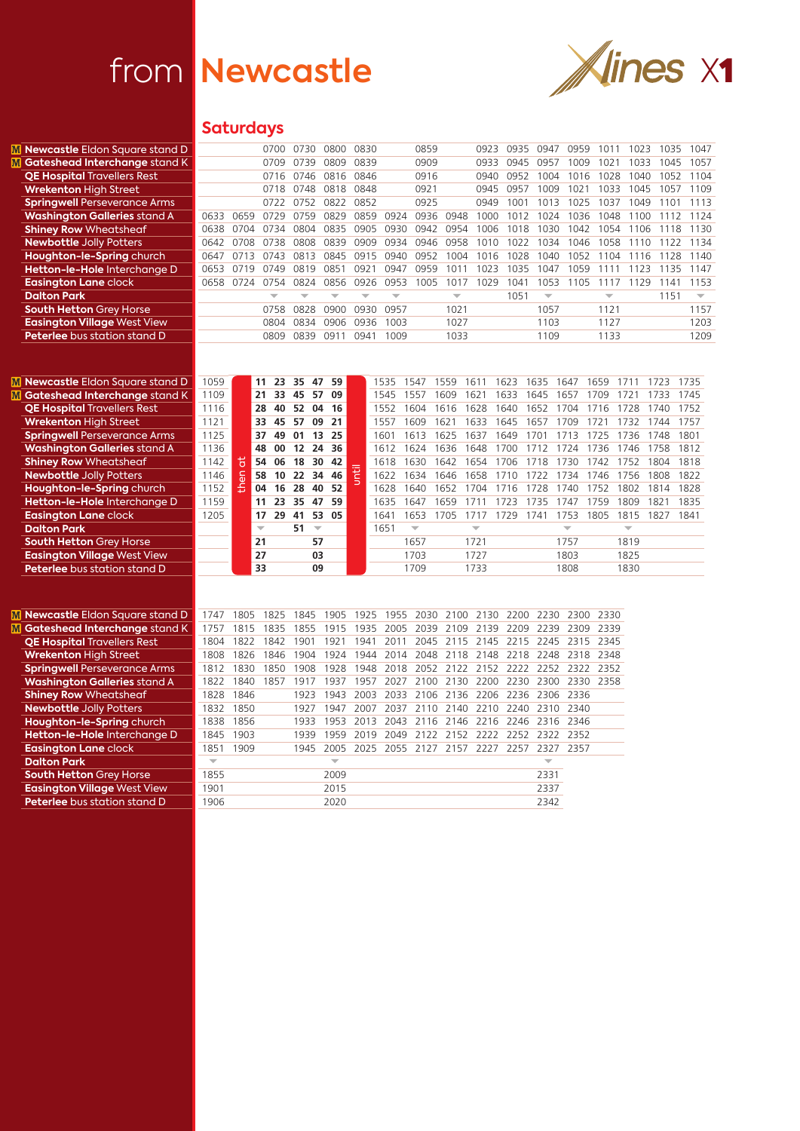

## **Saturdays**

| M Newcastle Eldon Square stand D    |                          |      | 0700                     |    | 0730                           | 0800                     | 0830                     |           |                          | 0859                     |                          | 0923                     | 0935 | 0947                     | 0959                     | 1011                     | 1023                     | 1035 | 1047                     |
|-------------------------------------|--------------------------|------|--------------------------|----|--------------------------------|--------------------------|--------------------------|-----------|--------------------------|--------------------------|--------------------------|--------------------------|------|--------------------------|--------------------------|--------------------------|--------------------------|------|--------------------------|
| M Gateshead Interchange stand K     |                          |      | 0709                     |    | 0739                           | 0809                     | 0839                     |           |                          | 0909                     |                          | 0933                     | 0945 | 0957                     | 1009                     | 1021                     | 1033                     | 1045 | 1057                     |
| <b>QE Hospital Travellers Rest</b>  |                          |      | 0716                     |    | 0746                           | 0816                     | 0846                     |           |                          | 0916                     |                          | 0940                     | 0952 | 1004                     | 1016                     | 1028                     | 1040                     | 1052 | 1104                     |
| <b>Wrekenton High Street</b>        |                          |      | 0718                     |    | 0748                           | 0818                     | 0848                     |           |                          | 0921                     |                          | 0945                     | 0957 | 1009                     | 1021                     | 1033                     | 1045                     | 1057 | 1109                     |
| <b>Springwell Perseverance Arms</b> |                          |      | 0722                     |    | 0752                           | 0822                     | 0852                     |           |                          | 0925                     |                          | 0949                     | 1001 | 1013                     | 1025                     | 1037                     | 1049                     | 1101 | 1113                     |
| <b>Washington Galleries stand A</b> | 0633                     | 0659 | 0729                     |    | 0759                           | 0829                     | 0859                     |           | 0924                     | 0936                     | 0948                     | 1000                     | 1012 | 1024                     | 1036                     | 1048                     | 1100                     | 1112 | 1124                     |
| <b>Shiney Row Wheatsheaf</b>        | 0638                     | 0704 | 0734                     |    | 0804                           | 0835                     | 0905                     |           | 0930                     | 0942                     | 0954                     | 1006                     | 1018 | 1030                     | 1042                     | 1054                     | 1106                     | 1118 | 1130                     |
| <b>Newbottle Jolly Potters</b>      | 0642                     | 0708 | 0738                     |    | 0808                           | 0839                     | 0909                     |           | 0934                     | 0946                     | 0958                     | 1010                     | 1022 | 1034                     | 1046                     | 1058                     | 1110                     | 1122 | 1134                     |
| Houghton-le-Spring church           | 0647                     | 0713 | 0743                     |    | 0813                           | 0845                     |                          | 0915      | 0940                     | 0952                     | 1004                     | 1016                     | 1028 | 1040                     | 1052                     | 1104                     | 1116                     | 1128 | 1140                     |
| Hetton-le-Hole Interchange D        | 0653                     | 0719 | 0749                     |    | 0819                           | 0851                     | 0921                     |           | 0947                     | 0959                     | 1011                     | 1023                     | 1035 | 1047                     | 1059                     | 1111                     | 1123                     | 1135 | 1147                     |
| <b>Easington Lane clock</b>         | 0658                     | 0724 | 0754                     |    | 0824 0856                      |                          | 0926                     |           | 0953                     | 1005                     | 1017                     | 1029                     | 1041 | 1053                     | 1105                     | 1117                     | 1129                     | 1141 | 1153                     |
| <b>Dalton Park</b>                  |                          |      | ÷                        |    | ÷                              | $\overline{\phantom{a}}$ | $\overline{\phantom{a}}$ |           | $\overline{\phantom{a}}$ |                          | $\overline{\phantom{a}}$ |                          | 1051 | $\overline{\phantom{m}}$ |                          | $\overline{\phantom{a}}$ |                          | 1151 | $\overline{\phantom{m}}$ |
| <b>South Hetton Grey Horse</b>      |                          |      | 0758                     |    | 0828                           | 0900                     | 0930                     |           | 0957                     |                          | 1021                     |                          |      | 1057                     |                          | 1121                     |                          |      | 1157                     |
| <b>Easington Village West View</b>  |                          |      | 0804                     |    | 0834                           | 0906                     | 0936                     |           | 1003                     |                          | 1027                     |                          |      | 1103                     |                          | 1127                     |                          |      | 1203                     |
| Peterlee bus station stand D        |                          |      | 0809                     |    | 0839 0911                      |                          | 0941                     |           | 1009                     |                          | 1033                     |                          |      | 1109                     |                          | 1133                     |                          |      | 1209                     |
|                                     |                          |      |                          |    |                                |                          |                          |           |                          |                          |                          |                          |      |                          |                          |                          |                          |      |                          |
|                                     |                          |      |                          |    |                                |                          |                          |           |                          |                          |                          |                          |      |                          |                          |                          |                          |      |                          |
| M Newcastle Eldon Square stand D    | 1059                     |      | 11                       | 23 | 35<br>47                       | 59                       |                          | 1535      |                          | 1547                     | 1559                     | 1611                     | 1623 | 1635                     | 1647                     | 1659                     | 1711                     | 1723 | 1735                     |
| M Gateshead Interchange stand K     | 1109                     |      | 21                       | 33 | 57<br>45                       | 09                       |                          | 1545      |                          | 1557                     | 1609                     | 1621                     | 1633 | 1645                     | 1657                     | 1709                     | 1721                     | 1733 | 1745                     |
| <b>QE Hospital Travellers Rest</b>  | 1116                     |      | 28                       | 40 | 52<br>04                       | 16                       |                          | 1552      |                          | 1604                     | 1616                     | 1628                     | 1640 | 1652                     | 1704                     | 1716                     | 1728                     | 1740 | 1752                     |
| <b>Wrekenton High Street</b>        | 1121                     |      | 33                       | 45 | 57<br>09                       | 21                       |                          | 1557      |                          | 1609                     | 1621                     | 1633                     | 1645 | 1657                     | 1709                     | 1721                     | 1732                     | 1744 | 1757                     |
| <b>Springwell Perseverance Arms</b> | 1125                     |      | 37                       | 49 | 01<br>13                       | 25                       |                          | 1601      |                          | 1613                     | 1625                     | 1637                     | 1649 | 1701                     | 1713                     | 1725                     | 1736                     | 1748 | 1801                     |
| <b>Washington Galleries stand A</b> | 1136                     |      | 48                       | 00 | 12<br>24                       | 36                       |                          | 1612      |                          | 1624                     | 1636                     | 1648                     | 1700 | 1712                     | 1724                     | 1736                     | 1746                     | 1758 | 1812                     |
| <b>Shiney Row Wheatsheaf</b>        | 1142                     | 5    | 54                       | 06 | 18<br>30                       | 42                       |                          | 1618      |                          | 1630                     | 1642                     | 1654                     | 1706 | 1718                     | 1730                     | 1742                     | 1752                     | 1804 | 1818                     |
| <b>Newbottle Jolly Potters</b>      | 1146                     |      | 58                       | 10 | 22<br>34                       | 46                       | until                    | 1622      |                          | 1634                     | 1646                     | 1658                     | 1710 | 1722                     | 1734                     | 1746                     | 1756                     | 1808 | 1822                     |
| Houghton-le-Spring church           | 1152                     | then | 04                       | 16 | 28<br>40                       | 52                       |                          | 1628      |                          | 1640                     | 1652                     | 1704                     | 1716 | 1728                     | 1740                     | 1752                     | 1802                     | 1814 | 1828                     |
| Hetton-le-Hole Interchange D        | 1159                     |      | 11                       | 23 | 35<br>47                       | 59                       |                          | 1635      |                          | 1647                     | 1659                     | 1711                     | 1723 | 1735                     | 1747                     | 1759                     | 1809                     | 1821 | 1835                     |
| <b>Easington Lane clock</b>         | 1205                     |      | 17                       | 29 | 41<br>53                       | 05                       |                          | 1641      |                          | 1653                     | 1705                     | 1717                     | 1729 | 1741                     | 1753                     | 1805                     | 1815                     | 1827 | 1841                     |
| <b>Dalton Park</b>                  |                          |      | $\overline{\phantom{a}}$ |    | 51<br>$\overline{\phantom{m}}$ |                          |                          | 1651      |                          | $\overline{\phantom{a}}$ |                          | $\overline{\phantom{a}}$ |      |                          | $\overline{\phantom{a}}$ |                          | $\overline{\phantom{a}}$ |      |                          |
| <b>South Hetton Grey Horse</b>      |                          |      | 21                       |    | 57                             |                          |                          |           |                          | 1657                     |                          | 1721                     |      |                          | 1757                     |                          | 1819                     |      |                          |
| <b>Easington Village West View</b>  |                          |      | 27                       |    | 03                             |                          |                          |           |                          | 1703                     |                          | 1727                     |      |                          | 1803                     |                          | 1825                     |      |                          |
| <b>Peterlee</b> bus station stand D |                          |      | 33                       |    | 09                             |                          |                          |           |                          | 1709                     |                          | 1733                     |      |                          | 1808                     |                          | 1830                     |      |                          |
|                                     |                          |      |                          |    |                                |                          |                          |           |                          |                          |                          |                          |      |                          |                          |                          |                          |      |                          |
|                                     |                          |      |                          |    |                                |                          |                          |           |                          |                          |                          |                          |      |                          |                          |                          |                          |      |                          |
|                                     |                          |      |                          |    |                                |                          |                          |           |                          |                          |                          |                          |      |                          |                          |                          |                          |      |                          |
| M Newcastle Eldon Square stand D    | 1747                     | 1805 | 1825                     |    | 1845                           | 1905                     | 1925                     |           | 1955                     | 2030                     | 2100                     | 2130                     | 2200 | 2230                     | 2300                     | 2330                     |                          |      |                          |
| M Gateshead Interchange stand K     | 1757                     | 1815 | 1835                     |    | 1855                           | 1915                     | 1935                     |           | 2005                     | 2039                     | 2109                     | 2139                     | 2209 | 2239                     | 2309                     | 2339                     |                          |      |                          |
| <b>QE Hospital Travellers Rest</b>  | 1804                     | 1822 | 1842                     |    | 1901                           | 1921                     | 1941                     |           | 2011                     | 2045                     | 2115                     | 2145                     | 2215 | 2245                     | 2315                     | 2345                     |                          |      |                          |
| <b>Wrekenton High Street</b>        | 1808                     | 1826 | 1846                     |    | 1904                           | 1924                     |                          | 1944      | 2014                     | 2048                     | 2118                     | 2148                     |      | 2218 2248                |                          | 2318 2348                |                          |      |                          |
| <b>Springwell Perseverance Arms</b> | 1812                     | 1830 | 1850                     |    | 1908                           | 1928                     |                          | 1948      | 2018                     | 2052                     |                          | 2122 2152                |      | 2222 2252                |                          | 2322 2352                |                          |      |                          |
| <b>Washington Galleries stand A</b> | 1822                     | 1840 | 1857                     |    | 1917                           | 1937                     |                          | 1957 2027 |                          | 2100                     | 2130                     | 2200                     |      | 2230 2300                |                          | 2330 2358                |                          |      |                          |
| <b>Shiney Row Wheatsheaf</b>        | 1828                     | 1846 |                          |    | 1923                           | 1943                     |                          | 2003      | 2033                     | 2106                     | 2136                     | 2206                     |      | 2236 2306                | 2336                     |                          |                          |      |                          |
| <b>Newbottle Jolly Potters</b>      | 1832                     | 1850 |                          |    | 1927                           | 1947                     |                          | 2007 2037 |                          | 2110                     | 2140                     | 2210                     |      | 2240 2310                | 2340                     |                          |                          |      |                          |
| Houghton-le-Spring church           | 1838                     | 1856 |                          |    | 1933                           | 1953                     |                          | 2013      | 2043                     | 2116                     | 2146                     | 2216                     |      | 2246 2316                | 2346                     |                          |                          |      |                          |
| Hetton-le-Hole Interchange D        | 1845                     | 1903 |                          |    | 1939                           | 1959                     |                          | 2019      | 2049                     | 2122                     | 2152                     | 2222                     |      | 2252 2322                | 2352                     |                          |                          |      |                          |
| <b>Easington Lane clock</b>         | 1851                     | 1909 |                          |    | 1945                           | 2005                     |                          |           |                          |                          |                          | 2025 2055 2127 2157 2227 | 2257 | 2327                     | 2357                     |                          |                          |      |                          |
| <b>Dalton Park</b>                  | $\overline{\phantom{m}}$ |      |                          |    |                                | $\overline{\phantom{m}}$ |                          |           |                          |                          |                          |                          |      | $\overline{\phantom{m}}$ |                          |                          |                          |      |                          |
| <b>South Hetton Grey Horse</b>      | 1855                     |      |                          |    |                                | 2009                     |                          |           |                          |                          |                          |                          |      | 2331                     |                          |                          |                          |      |                          |
| <b>Easington Village West View</b>  | 1901                     |      |                          |    |                                | 2015                     |                          |           |                          |                          |                          |                          |      | 2337                     |                          |                          |                          |      |                          |
| Peterlee bus station stand D        | 1906                     |      |                          |    |                                | 2020                     |                          |           |                          |                          |                          |                          |      | 2342                     |                          |                          |                          |      |                          |